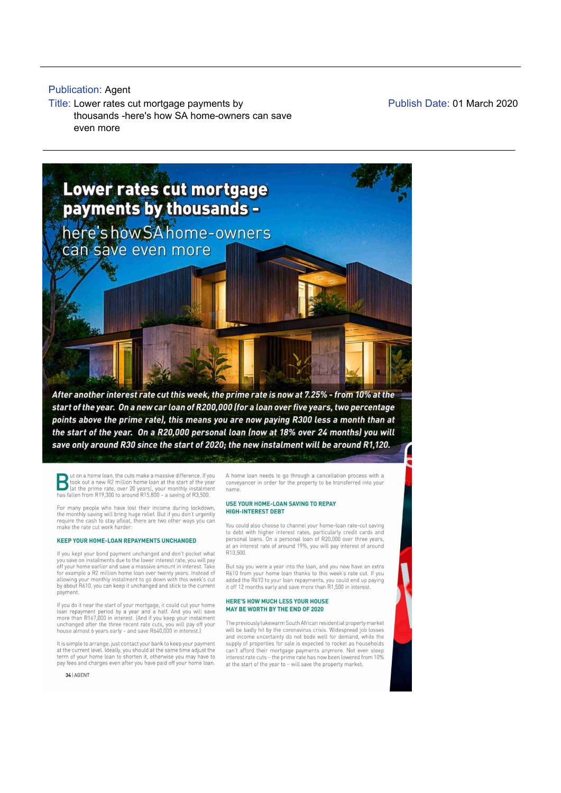## **Publication: Agent**

**Title: Lower rates cut mortgage payments by thousands -here's how SA home-owners can save even more**

**Publish Date: 01 March 2020**



points above the prime rate), this means you are now paying R300 less a month than at the start of the year. On a R20,000 personal loan (now at 18% over 24 months) you will save only around R30 since the start of 2020; the new instalment will be around R1,120.

Ution a home loan, the cuts make a massive difference. If you A home loan needs to go through a cancellation process with a took out a new R2 million home loan at the start of the year conveyancer in order for the property

For many people who have lost their income during lockdown,<br>the monthly saving will bring huge relief. But if you don't urgently **HIGH-INTEREST DEBT**<br>require the cash to stay afloat, there are two other ways you can make the rate cust work harder: We can be the very several work of the rate out work harder:

lf you kept your bond payment unchanged and don't pocket what R10,500. you save on instalments due to the lower interest rate, you will pay<br>off your home earlier and save a massive amount in interest. Take But say you were a year into the loan, and you now have an extra for example a R2 million home loan over twenty years. Instead of A610 from your home loan thanks to this week's rate cut. If you<br>allowing your monthly instalment to go down with this week's cut added the R610 to your loan payrrent

If you do it near the start of your mortgage, it could cut your home<br>loan repayment period by a year and a half. And you will save **MAY BE WORTH BY THE END OF 2020**<br>more than R167,000 in interest. [And if you keep your ins

34 | AGENT

## USE YOUR HOME-LOAN SAVING TO REPAY

to debt with higher interest rates, particularly credit cards and KEEP YOUR HOME-LOAN REPAYMENTS UNCHANGED personal loans. On a personal loan of R20,000 over three years<br>at an interest rate of around 19%, you will pay interest of around

# HERE'S HOW MUCH LESS YOUR HOUSE

house almost 6 years early – and save R640,000 in interest.) Will be badly hit by the coronavirus crisis. Widespread job losses and income uncertainty do not bode well for demand, while the supply of properties for sale is expected to rocket as households lt is simple to arrange, just contact your bank to keep your payment supply of properties for sale is expected to rocket as households at the current level. Ideally, you should at the same time adjust the can't afford thei at the current level. Ideally, you should at the same time adjust the can't afford their mortgage payments anymore. Not even steep<br>term of your home loan to shorten it, otherwise you may have to interest rate cuts – the pr pay fees and charges even after you have pard oft your home loan. at the star: of the year to , wrlt save the property market,